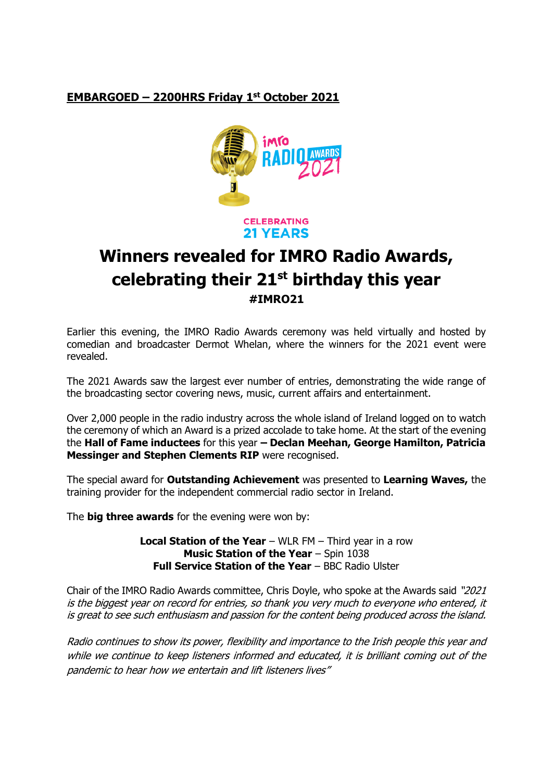# **EMBARGOED – 2200HRS Friday 1st October 2021**



**CELEBRATING 21 YEARS** 

# **Winners revealed for IMRO Radio Awards, celebrating their 21st birthday this year #IMRO21**

Earlier this evening, the IMRO Radio Awards ceremony was held virtually and hosted by comedian and broadcaster Dermot Whelan, where the winners for the 2021 event were revealed.

The 2021 Awards saw the largest ever number of entries, demonstrating the wide range of the broadcasting sector covering news, music, current affairs and entertainment.

Over 2,000 people in the radio industry across the whole island of Ireland logged on to watch the ceremony of which an Award is a prized accolade to take home. At the start of the evening the **Hall of Fame inductees** for this year **– Declan Meehan, George Hamilton, Patricia Messinger and Stephen Clements RIP** were recognised.

The special award for **Outstanding Achievement** was presented to **Learning Waves,** the training provider for the independent commercial radio sector in Ireland.

The **big three awards** for the evening were won by:

**Local Station of the Year** – WLR FM – Third year in a row **Music Station of the Year** – Spin 1038 **Full Service Station of the Year** – BBC Radio Ulster

Chair of the IMRO Radio Awards committee, Chris Doyle, who spoke at the Awards said "2021 is the biggest year on record for entries, so thank you very much to everyone who entered, it is great to see such enthusiasm and passion for the content being produced across the island.

Radio continues to show its power, flexibility and importance to the Irish people this year and while we continue to keep listeners informed and educated, it is brilliant coming out of the pandemic to hear how we entertain and lift listeners lives"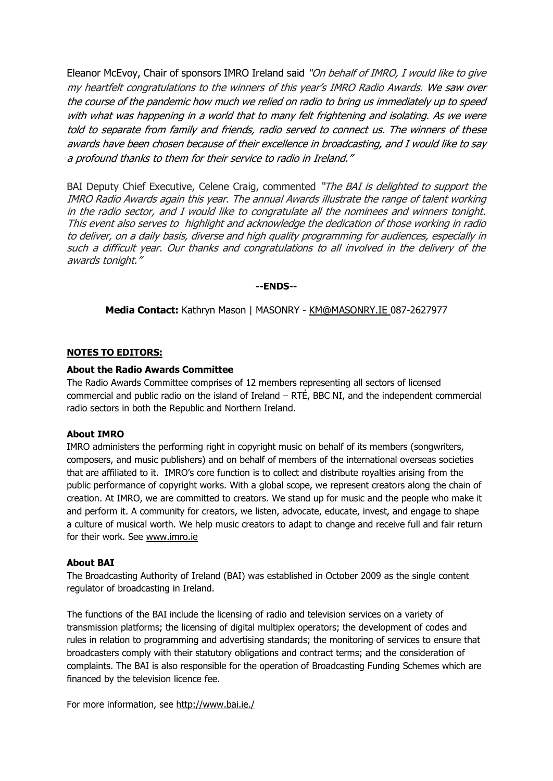Eleanor McEvoy, Chair of sponsors IMRO Ireland said "On behalf of IMRO, I would like to give my heartfelt congratulations to the winners of this year's IMRO Radio Awards. We saw over the course of the pandemic how much we relied on radio to bring us immediately up to speed with what was happening in a world that to many felt frightening and isolating. As we were told to separate from family and friends, radio served to connect us. The winners of these awards have been chosen because of their excellence in broadcasting, and I would like to say a profound thanks to them for their service to radio in Ireland."

BAI Deputy Chief Executive, Celene Craig, commented "The BAI is delighted to support the IMRO Radio Awards again this year. The annual Awards illustrate the range of talent working in the radio sector, and I would like to congratulate all the nominees and winners tonight. This event also serves to highlight and acknowledge the dedication of those working in radio to deliver, on a daily basis, diverse and high quality programming for audiences, especially in such a difficult year. Our thanks and congratulations to all involved in the delivery of the awards tonight."

### **--ENDS--**

**Media Contact:** Kathryn Mason | MASONRY - [KM@MASONRY.IE](mailto:KM@MASONRY.IE) 087-2627977

# **NOTES TO EDITORS:**

# **About the Radio Awards Committee**

The Radio Awards Committee comprises of 12 members representing all sectors of licensed commercial and public radio on the island of Ireland – RTÉ, BBC NI, and the independent commercial radio sectors in both the Republic and Northern Ireland.

### **About IMRO**

IMRO administers the performing right in copyright music on behalf of its members (songwriters, composers, and music publishers) and on behalf of members of the international overseas societies that are affiliated to it. IMRO's core function is to collect and distribute royalties arising from the public performance of copyright works. With a global scope, we represent creators along the chain of creation. At IMRO, we are committed to creators. We stand up for music and the people who make it and perform it. A community for creators, we listen, advocate, educate, invest, and engage to shape a culture of musical worth. We help music creators to adapt to change and receive full and fair return for their work. See [www.imro.ie](http://www.imro.ie/)

### **About BAI**

The Broadcasting Authority of Ireland (BAI) was established in October 2009 as the single content regulator of broadcasting in Ireland.

The functions of the BAI include the licensing of radio and television services on a variety of transmission platforms; the licensing of digital multiplex operators; the development of codes and rules in relation to programming and advertising standards; the monitoring of services to ensure that broadcasters comply with their statutory obligations and contract terms; and the consideration of complaints. The BAI is also responsible for the operation of Broadcasting Funding Schemes which are financed by the television licence fee.

For more information, see<http://www.bai.ie./>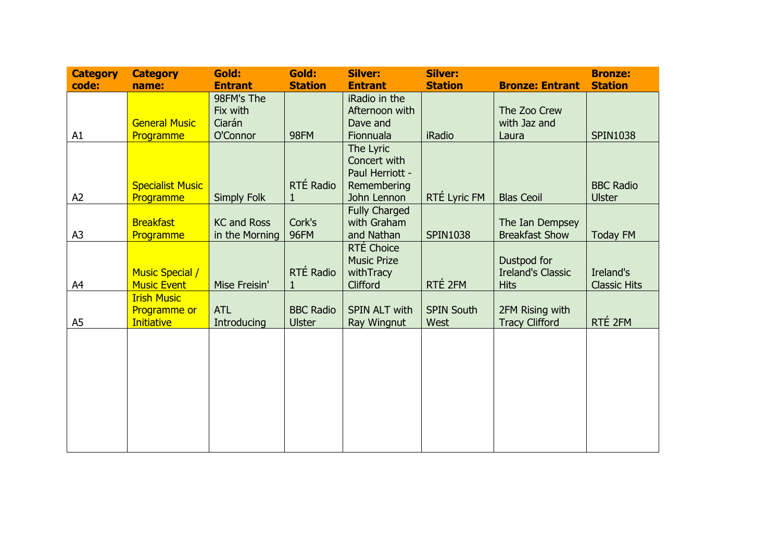| <b>Category</b> | <b>Category</b>         | Gold:              | Gold:            | Silver:              | <b>Silver:</b>    |                          | <b>Bronze:</b>      |
|-----------------|-------------------------|--------------------|------------------|----------------------|-------------------|--------------------------|---------------------|
| code:           | name:                   | <b>Entrant</b>     | <b>Station</b>   | <b>Entrant</b>       | <b>Station</b>    | <b>Bronze: Entrant</b>   | <b>Station</b>      |
|                 |                         | 98FM's The         |                  | iRadio in the        |                   |                          |                     |
|                 |                         | Fix with           |                  | Afternoon with       |                   | The Zoo Crew             |                     |
|                 | <b>General Music</b>    | Ciarán             |                  | Dave and             |                   | with Jaz and             |                     |
| A1              | Programme               | O'Connor           | 98FM             | Fionnuala            | <b>iRadio</b>     | Laura                    | <b>SPIN1038</b>     |
|                 |                         |                    |                  | The Lyric            |                   |                          |                     |
|                 |                         |                    |                  | Concert with         |                   |                          |                     |
|                 |                         |                    |                  | Paul Herriott -      |                   |                          |                     |
|                 | <b>Specialist Music</b> |                    | RTÉ Radio        | Remembering          |                   |                          | <b>BBC Radio</b>    |
| A <sub>2</sub>  | Programme               | <b>Simply Folk</b> |                  | John Lennon          | RTÉ Lyric FM      | <b>Blas Ceoil</b>        | <b>Ulster</b>       |
|                 |                         |                    |                  | <b>Fully Charged</b> |                   |                          |                     |
|                 | <b>Breakfast</b>        | <b>KC and Ross</b> | Cork's           | with Graham          |                   | The Ian Dempsey          |                     |
| A3              | <b>Programme</b>        | in the Morning     | 96FM             | and Nathan           | <b>SPIN1038</b>   | <b>Breakfast Show</b>    | <b>Today FM</b>     |
|                 |                         |                    |                  | RTÉ Choice           |                   |                          |                     |
|                 |                         |                    |                  | <b>Music Prize</b>   |                   | Dustpod for              |                     |
|                 | <b>Music Special /</b>  |                    | RTÉ Radio        | withTracy            |                   | <b>Ireland's Classic</b> | Ireland's           |
| A4              | <b>Music Event</b>      | Mise Freisin'      | 1                | Clifford             | RTÉ 2FM           | <b>Hits</b>              | <b>Classic Hits</b> |
|                 | <b>Irish Music</b>      |                    |                  |                      |                   |                          |                     |
|                 | <b>Programme or</b>     | <b>ATL</b>         | <b>BBC Radio</b> | SPIN ALT with        | <b>SPIN South</b> | 2FM Rising with          | RTÉ 2FM             |
| A5              | Initiative              | Introducing        | <b>Ulster</b>    | Ray Wingnut          | West              | <b>Tracy Clifford</b>    |                     |
|                 |                         |                    |                  |                      |                   |                          |                     |
|                 |                         |                    |                  |                      |                   |                          |                     |
|                 |                         |                    |                  |                      |                   |                          |                     |
|                 |                         |                    |                  |                      |                   |                          |                     |
|                 |                         |                    |                  |                      |                   |                          |                     |
|                 |                         |                    |                  |                      |                   |                          |                     |
|                 |                         |                    |                  |                      |                   |                          |                     |
|                 |                         |                    |                  |                      |                   |                          |                     |
|                 |                         |                    |                  |                      |                   |                          |                     |
|                 |                         |                    |                  |                      |                   |                          |                     |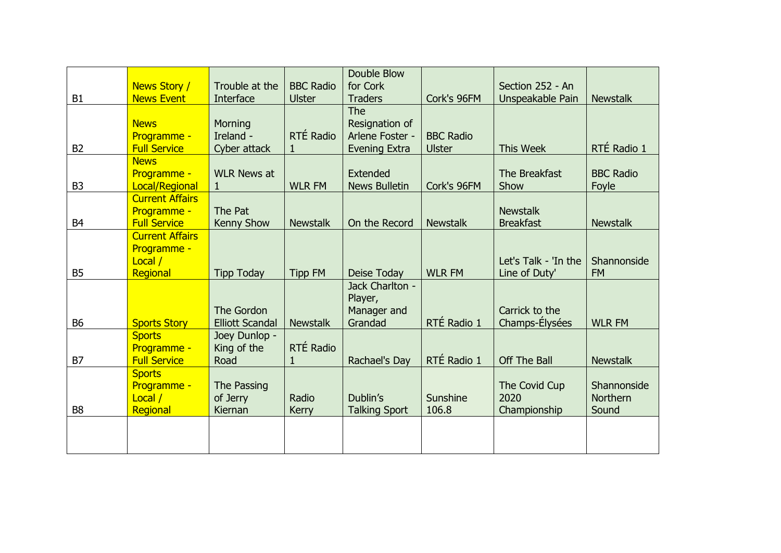|                | News Story /                       | Trouble at the         | <b>BBC Radio</b> | Double Blow<br>for Cork |                  | Section 252 - An                    |                  |
|----------------|------------------------------------|------------------------|------------------|-------------------------|------------------|-------------------------------------|------------------|
| B <sub>1</sub> | <b>News Event</b>                  | Interface              | <b>Ulster</b>    | <b>Traders</b>          | Cork's 96FM      | Unspeakable Pain                    | <b>Newstalk</b>  |
|                |                                    |                        |                  | The                     |                  |                                     |                  |
|                | <b>News</b>                        | Morning                |                  | Resignation of          |                  |                                     |                  |
|                | Programme -                        | Ireland -              | RTÉ Radio        | Arlene Foster -         | <b>BBC Radio</b> |                                     |                  |
| B <sub>2</sub> | <b>Full Service</b>                | Cyber attack           | 1                | <b>Evening Extra</b>    | <b>Ulster</b>    | <b>This Week</b>                    | RTÉ Radio 1      |
|                | <b>News</b>                        |                        |                  |                         |                  |                                     |                  |
|                | Programme -                        | <b>WLR News at</b>     |                  | Extended                |                  | The Breakfast                       | <b>BBC Radio</b> |
| B <sub>3</sub> | Local/Regional                     | 1                      | <b>WLR FM</b>    | <b>News Bulletin</b>    | Cork's 96FM      | Show                                | Foyle            |
|                | <b>Current Affairs</b>             |                        |                  |                         |                  |                                     |                  |
| <b>B4</b>      | Programme -<br><b>Full Service</b> | The Pat                | <b>Newstalk</b>  | On the Record           | <b>Newstalk</b>  | <b>Newstalk</b><br><b>Breakfast</b> | <b>Newstalk</b>  |
|                | <b>Current Affairs</b>             | Kenny Show             |                  |                         |                  |                                     |                  |
|                | Programme -                        |                        |                  |                         |                  |                                     |                  |
|                | Local /                            |                        |                  |                         |                  | Let's Talk - 'In the                | Shannonside      |
| <b>B5</b>      | Regional                           | <b>Tipp Today</b>      | <b>Tipp FM</b>   | Deise Today             | <b>WLR FM</b>    | Line of Duty'                       | <b>FM</b>        |
|                |                                    |                        |                  | Jack Charlton -         |                  |                                     |                  |
|                |                                    |                        |                  | Player,                 |                  |                                     |                  |
|                |                                    | The Gordon             |                  | Manager and             |                  | Carrick to the                      |                  |
| <b>B6</b>      | <b>Sports Story</b>                | <b>Elliott Scandal</b> | <b>Newstalk</b>  | Grandad                 | RTÉ Radio 1      | Champs-Elysées                      | <b>WLR FM</b>    |
|                | <b>Sports</b>                      | Joey Dunlop -          |                  |                         |                  |                                     |                  |
|                | Programme -                        | King of the            | RTÉ Radio        |                         |                  |                                     |                  |
| <b>B7</b>      | <b>Full Service</b>                | Road                   | 1                | Rachael's Day           | RTÉ Radio 1      | Off The Ball                        | <b>Newstalk</b>  |
|                | <b>Sports</b><br>Programme -       | The Passing            |                  |                         |                  | The Covid Cup                       | Shannonside      |
|                | Local /                            | of Jerry               | Radio            | Dublin's                | Sunshine         | 2020                                | <b>Northern</b>  |
| <b>B8</b>      | Regional                           | Kiernan                | <b>Kerry</b>     | <b>Talking Sport</b>    | 106.8            | Championship                        | Sound            |
|                |                                    |                        |                  |                         |                  |                                     |                  |
|                |                                    |                        |                  |                         |                  |                                     |                  |
|                |                                    |                        |                  |                         |                  |                                     |                  |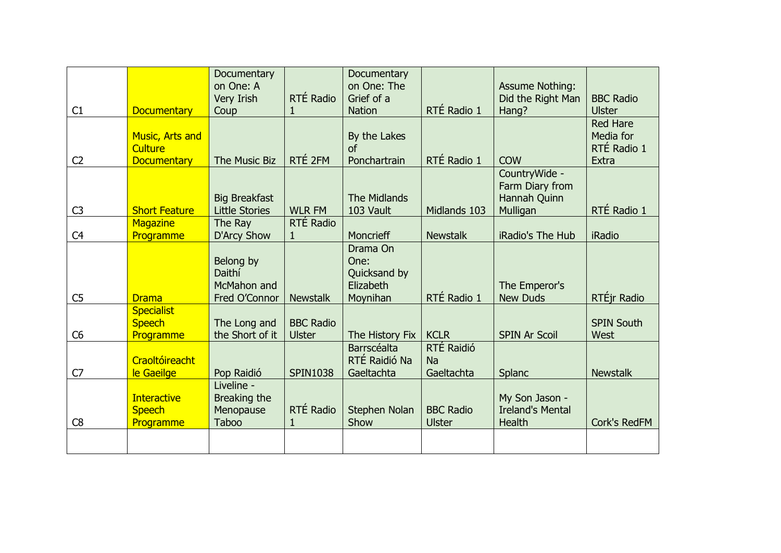|                |                                                  | Documentary<br>on One: A                                |                                   | Documentary<br>on One: The                                |                                   | <b>Assume Nothing:</b>                                     |                                   |
|----------------|--------------------------------------------------|---------------------------------------------------------|-----------------------------------|-----------------------------------------------------------|-----------------------------------|------------------------------------------------------------|-----------------------------------|
| C1             | <b>Documentary</b>                               | Very Irish<br>Coup                                      | RTÉ Radio<br>1                    | Grief of a<br><b>Nation</b>                               | RTÉ Radio 1                       | Did the Right Man<br>Hang?                                 | <b>BBC Radio</b><br><b>Ulster</b> |
|                | <b>Music, Arts and</b>                           |                                                         |                                   | By the Lakes                                              |                                   |                                                            | <b>Red Hare</b><br>Media for      |
|                | <b>Culture</b>                                   |                                                         |                                   | of                                                        |                                   |                                                            | RTÉ Radio 1                       |
| C <sub>2</sub> | <b>Documentary</b>                               | The Music Biz                                           | RTÉ 2FM                           | Ponchartrain                                              | RTÉ Radio 1                       | <b>COW</b><br>CountryWide -                                | Extra                             |
| C <sub>3</sub> | <b>Short Feature</b>                             | <b>Big Breakfast</b><br><b>Little Stories</b>           | <b>WLR FM</b>                     | The Midlands<br>103 Vault                                 | Midlands 103                      | Farm Diary from<br>Hannah Quinn<br>Mulligan                | RTÉ Radio 1                       |
|                | <b>Magazine</b>                                  | The Ray                                                 | RTÉ Radio                         |                                                           |                                   |                                                            |                                   |
| C <sub>4</sub> | Programme                                        | <b>D'Arcy Show</b>                                      | $\mathbf{1}$                      | Moncrieff                                                 | <b>Newstalk</b>                   | iRadio's The Hub                                           | <b>iRadio</b>                     |
| C <sub>5</sub> | <b>Drama</b>                                     | Belong by<br>Daithí<br>McMahon and<br>Fred O'Connor     | <b>Newstalk</b>                   | Drama On<br>One:<br>Quicksand by<br>Elizabeth<br>Moynihan | RTÉ Radio 1                       | The Emperor's<br><b>New Duds</b>                           | RTÉjr Radio                       |
| C <sub>6</sub> | <b>Specialist</b><br><b>Speech</b><br>Programme  | The Long and<br>the Short of it                         | <b>BBC Radio</b><br><b>Ulster</b> | The History Fix                                           | <b>KCLR</b>                       | <b>SPIN Ar Scoil</b>                                       | <b>SPIN South</b><br>West         |
| C7             | Craoltóireacht<br>le Gaeilge                     | Pop Raidió                                              | <b>SPIN1038</b>                   | Barrscéalta<br>RTÉ Raidió Na<br>Gaeltachta                | RTÉ Raidió<br>Na<br>Gaeltachta    | Splanc                                                     | <b>Newstalk</b>                   |
| C8             | <b>Interactive</b><br><b>Speech</b><br>Programme | Liveline -<br>Breaking the<br>Menopause<br><b>Taboo</b> | RTÉ Radio<br>$\mathbf{1}$         | Stephen Nolan<br>Show                                     | <b>BBC Radio</b><br><b>Ulster</b> | My Son Jason -<br><b>Ireland's Mental</b><br><b>Health</b> | Cork's RedFM                      |
|                |                                                  |                                                         |                                   |                                                           |                                   |                                                            |                                   |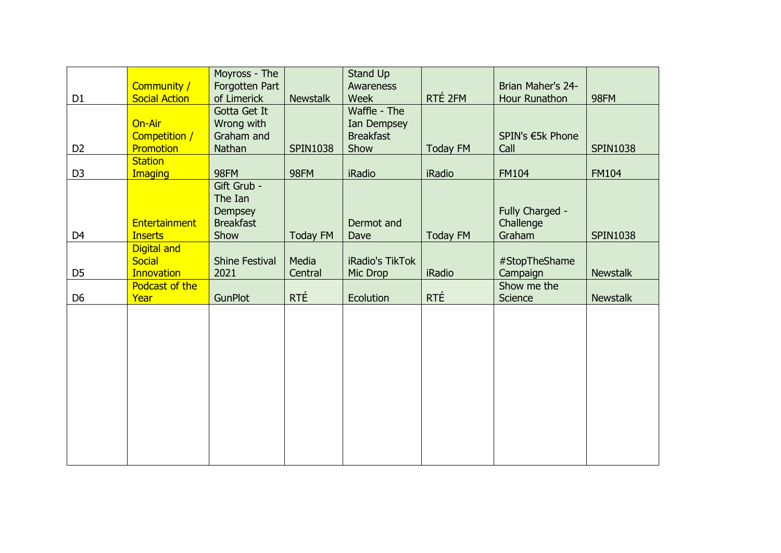|                |                                        | Moyross - The                                                        |                 | Stand Up           |                 |                                        |                 |
|----------------|----------------------------------------|----------------------------------------------------------------------|-----------------|--------------------|-----------------|----------------------------------------|-----------------|
|                | Community /                            | Forgotten Part                                                       |                 | Awareness          |                 | Brian Maher's 24-                      |                 |
| D <sub>1</sub> | <b>Social Action</b>                   | of Limerick                                                          | <b>Newstalk</b> | Week               | RTÉ 2FM         | Hour Runathon                          | 98FM            |
|                |                                        | Gotta Get It                                                         |                 | Waffle - The       |                 |                                        |                 |
|                | On-Air                                 | Wrong with                                                           |                 | Ian Dempsey        |                 |                                        |                 |
|                | Competition /                          | Graham and                                                           |                 | <b>Breakfast</b>   |                 | SPIN's €5k Phone                       |                 |
| D <sub>2</sub> | Promotion                              | Nathan                                                               | <b>SPIN1038</b> | Show               | <b>Today FM</b> | Call                                   | <b>SPIN1038</b> |
|                | <b>Station</b>                         |                                                                      |                 |                    |                 |                                        |                 |
| D <sub>3</sub> | <b>Imaging</b>                         | 98FM                                                                 | 98FM            | <b>iRadio</b>      | <b>iRadio</b>   | <b>FM104</b>                           | <b>FM104</b>    |
| D <sub>4</sub> | <b>Entertainment</b><br><b>Inserts</b> | Gift Grub -<br>The Ian<br><b>Dempsey</b><br><b>Breakfast</b><br>Show | <b>Today FM</b> | Dermot and<br>Dave | <b>Today FM</b> | Fully Charged -<br>Challenge<br>Graham | <b>SPIN1038</b> |
|                | Digital and                            |                                                                      |                 |                    |                 |                                        |                 |
|                | <b>Social</b>                          | <b>Shine Festival</b>                                                | Media           | iRadio's TikTok    |                 | #StopTheShame                          |                 |
| D <sub>5</sub> | <b>Innovation</b>                      | 2021                                                                 | Central         | Mic Drop           | <b>iRadio</b>   | Campaign                               | <b>Newstalk</b> |
|                | Podcast of the                         |                                                                      |                 |                    |                 | Show me the                            |                 |
| D <sub>6</sub> | Year                                   | GunPlot                                                              | RTÉ             | Ecolution          | RTÉ             | Science                                | <b>Newstalk</b> |
|                |                                        |                                                                      |                 |                    |                 |                                        |                 |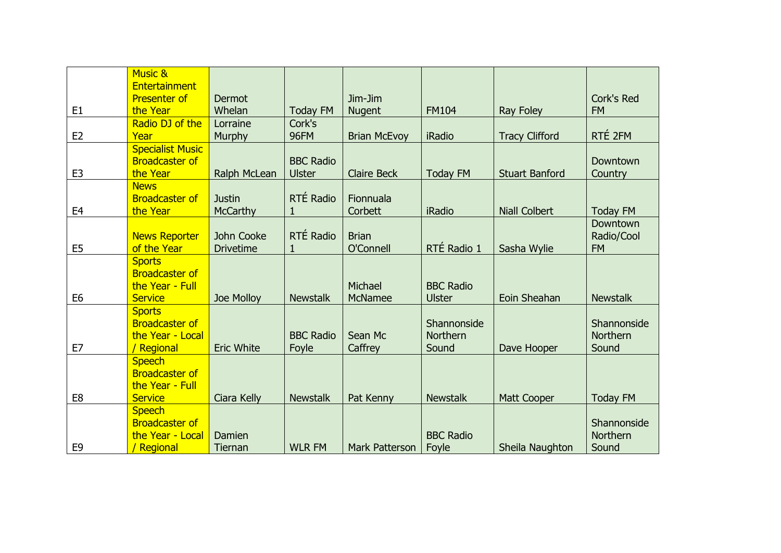|                | <b>Music &amp;</b><br>Entertainment                                         |                                  |                                   |                           |                                         |                       |                                     |
|----------------|-----------------------------------------------------------------------------|----------------------------------|-----------------------------------|---------------------------|-----------------------------------------|-----------------------|-------------------------------------|
| E <sub>1</sub> | <b>Presenter of</b><br>the Year                                             | Dermot<br>Whelan                 | <b>Today FM</b>                   | Jim-Jim<br><b>Nugent</b>  | <b>FM104</b>                            | Ray Foley             | Cork's Red<br><b>FM</b>             |
| E <sub>2</sub> | Radio DJ of the<br>Year                                                     | Lorraine<br>Murphy               | Cork's<br>96FM                    | <b>Brian McEvoy</b>       | <b>iRadio</b>                           | <b>Tracy Clifford</b> | RTÉ 2FM                             |
| E <sub>3</sub> | <b>Specialist Music</b><br><b>Broadcaster of</b><br>the Year                | Ralph McLean                     | <b>BBC Radio</b><br><b>Ulster</b> | <b>Claire Beck</b>        | <b>Today FM</b>                         | <b>Stuart Banford</b> | Downtown<br>Country                 |
| E <sub>4</sub> | <b>News</b><br><b>Broadcaster of</b><br>the Year                            | <b>Justin</b><br><b>McCarthy</b> | RTÉ Radio<br>1                    | Fionnuala<br>Corbett      | <b>iRadio</b>                           | <b>Niall Colbert</b>  | <b>Today FM</b>                     |
| E <sub>5</sub> | <b>News Reporter</b><br>of the Year                                         | John Cooke<br><b>Drivetime</b>   | RTÉ Radio<br>1                    | <b>Brian</b><br>O'Connell | RTÉ Radio 1                             | Sasha Wylie           | Downtown<br>Radio/Cool<br><b>FM</b> |
| E <sub>6</sub> | <b>Sports</b><br><b>Broadcaster of</b><br>the Year - Full<br><b>Service</b> | Joe Molloy                       | <b>Newstalk</b>                   | Michael<br><b>McNamee</b> | <b>BBC Radio</b><br><b>Ulster</b>       | Eoin Sheahan          | <b>Newstalk</b>                     |
| E7             | <b>Sports</b><br><b>Broadcaster of</b><br>the Year - Local<br>/ Regional    | <b>Eric White</b>                | <b>BBC Radio</b><br>Foyle         | Sean Mc<br>Caffrey        | Shannonside<br><b>Northern</b><br>Sound | Dave Hooper           | Shannonside<br>Northern<br>Sound    |
| E <sub>8</sub> | <b>Speech</b><br><b>Broadcaster of</b><br>the Year - Full<br><b>Service</b> | Ciara Kelly                      | <b>Newstalk</b>                   | Pat Kenny                 | <b>Newstalk</b>                         | Matt Cooper           | <b>Today FM</b>                     |
| E <sub>9</sub> | <b>Speech</b><br><b>Broadcaster of</b><br>the Year - Local<br>/ Regional    | Damien<br><b>Tiernan</b>         | <b>WLR FM</b>                     | Mark Patterson            | <b>BBC Radio</b><br>Foyle               | Sheila Naughton       | Shannonside<br>Northern<br>Sound    |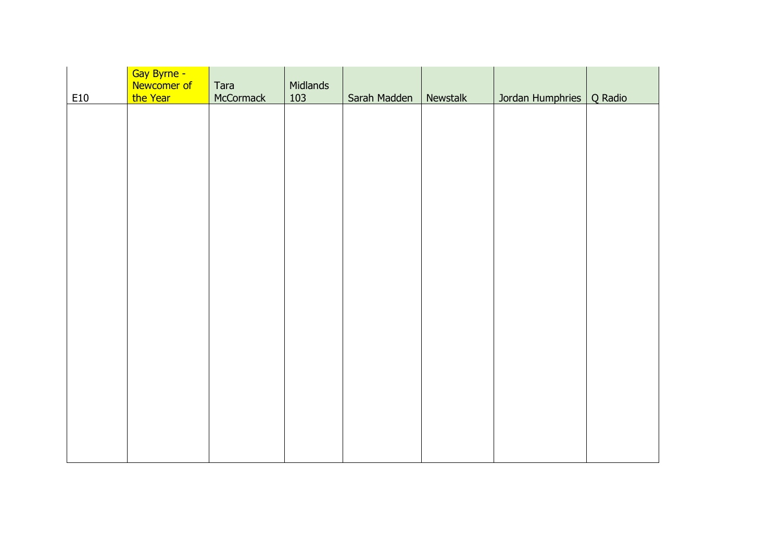| E10 | Gay Byrne -<br>Newcomer of<br>the Year | Tara<br>McCormack | Midlands<br>103 | Sarah Madden | Newstalk | Jordan Humphries | Q Radio |
|-----|----------------------------------------|-------------------|-----------------|--------------|----------|------------------|---------|
|     |                                        |                   |                 |              |          |                  |         |
|     |                                        |                   |                 |              |          |                  |         |
|     |                                        |                   |                 |              |          |                  |         |
|     |                                        |                   |                 |              |          |                  |         |
|     |                                        |                   |                 |              |          |                  |         |
|     |                                        |                   |                 |              |          |                  |         |
|     |                                        |                   |                 |              |          |                  |         |
|     |                                        |                   |                 |              |          |                  |         |
|     |                                        |                   |                 |              |          |                  |         |
|     |                                        |                   |                 |              |          |                  |         |
|     |                                        |                   |                 |              |          |                  |         |